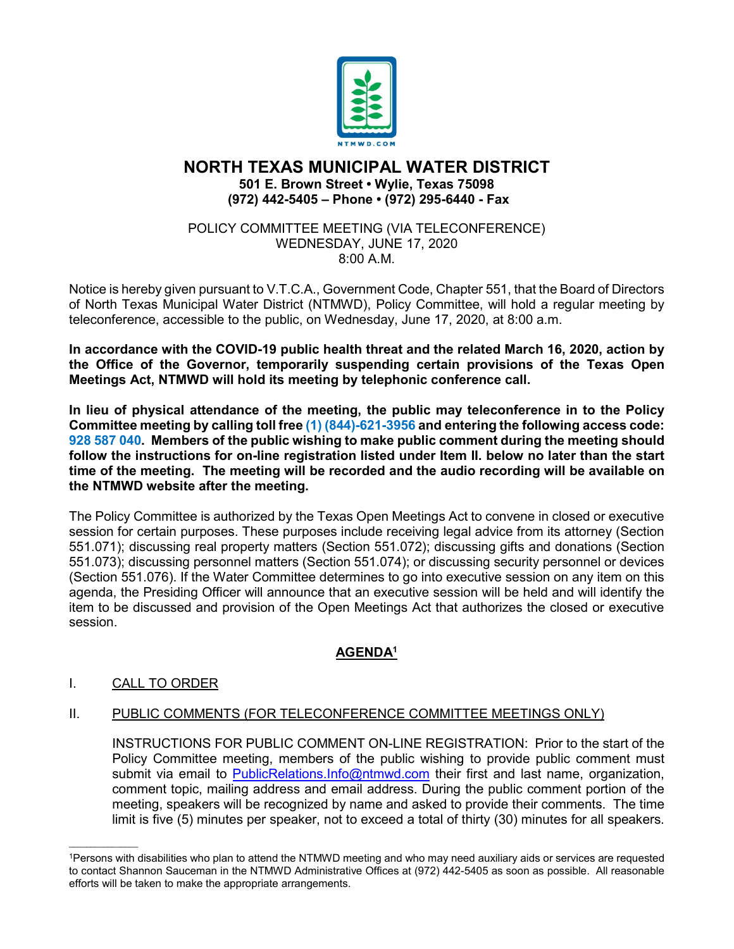

## **NORTH TEXAS MUNICIPAL WATER DISTRICT 501 E. Brown Street • Wylie, Texas 75098 (972) 442-5405 – Phone • (972) 295-6440 - Fax**

#### POLICY COMMITTEE MEETING (VIA TELECONFERENCE) WEDNESDAY, JUNE 17, 2020 8:00 A.M.

Notice is hereby given pursuant to V.T.C.A., Government Code, Chapter 551, that the Board of Directors of North Texas Municipal Water District (NTMWD), Policy Committee, will hold a regular meeting by teleconference, accessible to the public, on Wednesday, June 17, 2020, at 8:00 a.m.

**In accordance with the COVID-19 public health threat and the related March 16, 2020, action by the Office of the Governor, temporarily suspending certain provisions of the Texas Open Meetings Act, NTMWD will hold its meeting by telephonic conference call.** 

**In lieu of physical attendance of the meeting, the public may teleconference in to the Policy Committee meeting by calling toll free (1) (844)-621-3956 and entering the following access code: 928 587 040. Members of the public wishing to make public comment during the meeting should follow the instructions for on-line registration listed under Item II. below no later than the start time of the meeting. The meeting will be recorded and the audio recording will be available on the NTMWD website after the meeting.**

The Policy Committee is authorized by the Texas Open Meetings Act to convene in closed or executive session for certain purposes. These purposes include receiving legal advice from its attorney (Section 551.071); discussing real property matters (Section 551.072); discussing gifts and donations (Section 551.073); discussing personnel matters (Section 551.074); or discussing security personnel or devices (Section 551.076). If the Water Committee determines to go into executive session on any item on this agenda, the Presiding Officer will announce that an executive session will be held and will identify the item to be discussed and provision of the Open Meetings Act that authorizes the closed or executive session.

# **AGENDA1**

# I. CALL TO ORDER

 $\mathcal{L}=\mathcal{L}=\mathcal{L}=\mathcal{L}=\mathcal{L}=\mathcal{L}=\mathcal{L}=\mathcal{L}=\mathcal{L}=\mathcal{L}=\mathcal{L}=\mathcal{L}=\mathcal{L}=\mathcal{L}=\mathcal{L}=\mathcal{L}=\mathcal{L}=\mathcal{L}=\mathcal{L}=\mathcal{L}=\mathcal{L}=\mathcal{L}=\mathcal{L}=\mathcal{L}=\mathcal{L}=\mathcal{L}=\mathcal{L}=\mathcal{L}=\mathcal{L}=\mathcal{L}=\mathcal{L}=\mathcal{L}=\mathcal{L}=\mathcal{L}=\mathcal{L}=\mathcal{L}=\mathcal{$ 

### II. PUBLIC COMMENTS (FOR TELECONFERENCE COMMITTEE MEETINGS ONLY)

INSTRUCTIONS FOR PUBLIC COMMENT ON-LINE REGISTRATION: Prior to the start of the Policy Committee meeting, members of the public wishing to provide public comment must submit via email to [PublicRelations.Info@ntmwd.com](mailto:PublicRelations.Info@ntmwd.com) their first and last name, organization, comment topic, mailing address and email address. During the public comment portion of the meeting, speakers will be recognized by name and asked to provide their comments. The time limit is five (5) minutes per speaker, not to exceed a total of thirty (30) minutes for all speakers.

<sup>1</sup>Persons with disabilities who plan to attend the NTMWD meeting and who may need auxiliary aids or services are requested to contact Shannon Sauceman in the NTMWD Administrative Offices at (972) 442-5405 as soon as possible. All reasonable efforts will be taken to make the appropriate arrangements.